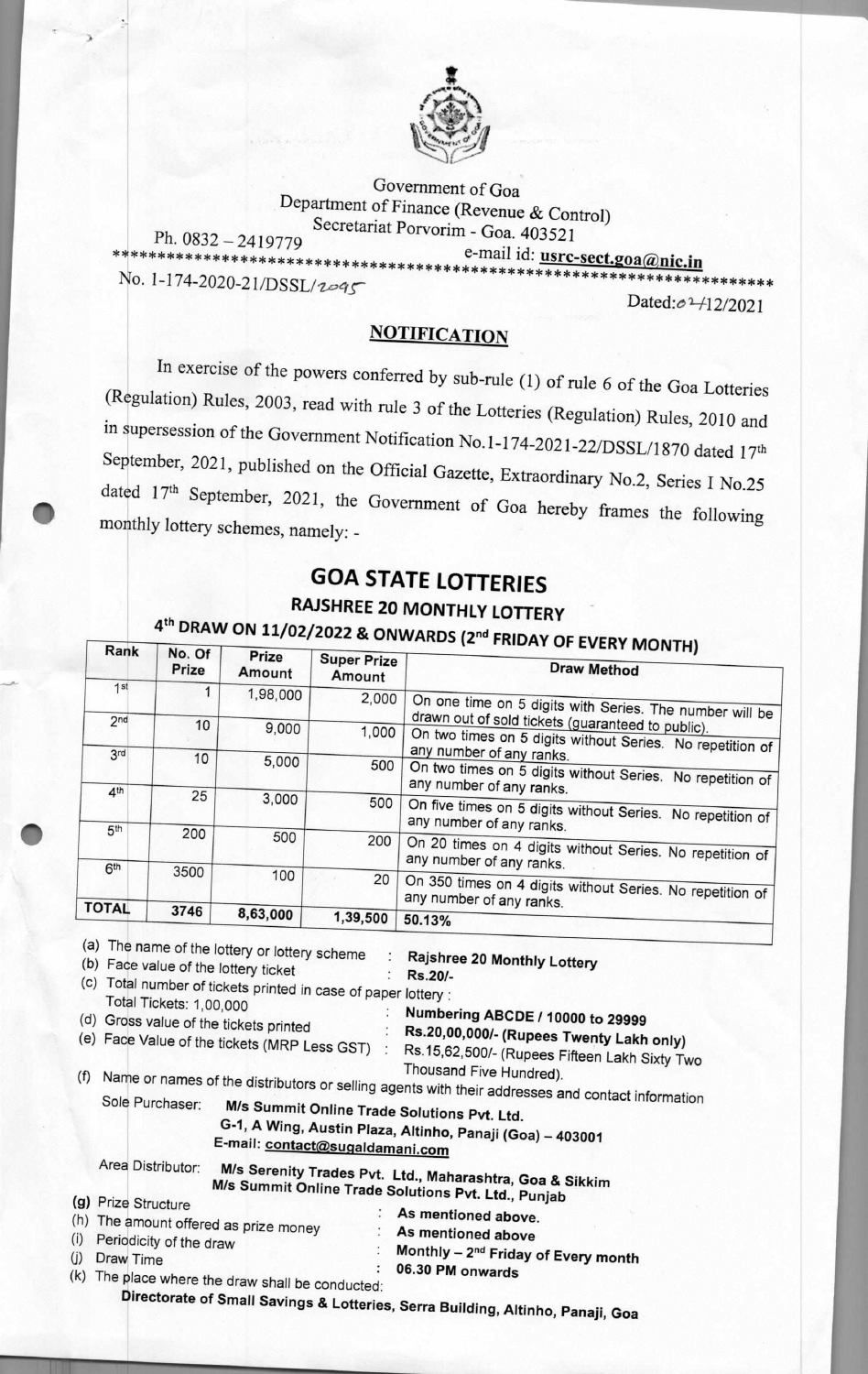

Government of Goa Department of Finance (Revenue & Control) e-mail id: usi:s:§ssIg ic.in \*\*\*\*\*\*\*\*\*\*\*\*\*\*\*\*\*\*\*\*\*\*\*\*\*\*\*\*\*\*\*\*\*\*\*\*\*\*\*\*\*\*\*\*\*\*\*\*\*\*\*\*\*\*\*\*\*\*\*\*\*\*\*\*\*\*\*\*\*\*\*\* Secretariat Porvorim - Goa. 403521 Ph. 0832 — 2419779

No. 1-174-2020-21/DSSL/2095

Dated: 02 + 12/2021

## **NOTIFICATION**

In exercise of the powers conferred by sub-rule (1) of rule 6 of the Goa Lotteries (Regulation) Rules, 2003, read with rule 3 of the Lotteries (Regulation) Rules, 2010 and in supersession of the Government Notification No.1-174-2021-22/DSSL/1870 dated 17th September, 2021, published on the Official Gazette, Extraordinary No.2, Series I No.25 dated 17th September, 2021, the Government of Goa hereby frames the following monthly lottery schemes, namely: **-** 

## **GOA STATE LOTTERIES**

## **RAJSHREE 20 MONTHLY LOTTERY**

|                                          | No. Of<br>Prize                            | Prize<br>Amount                                                                          | <b>Super Prize</b><br>Amount                                   | 4 <sup>th</sup> DRAW ON 11/02/2022 & ONWARDS (2 <sup>nd</sup> FRIDAY OF EVERY MONTH)<br><b>Draw Method</b>                                                                                                                                                                                                                                                               |
|------------------------------------------|--------------------------------------------|------------------------------------------------------------------------------------------|----------------------------------------------------------------|--------------------------------------------------------------------------------------------------------------------------------------------------------------------------------------------------------------------------------------------------------------------------------------------------------------------------------------------------------------------------|
| 1st                                      | 1                                          | 1,98,000                                                                                 | 2,000                                                          | On one time on 5 digits with Series. The number will be                                                                                                                                                                                                                                                                                                                  |
| 2 <sub>nd</sub>                          | 10                                         | 9,000                                                                                    | 1,000                                                          | drawn out of sold tickets (guaranteed to public).<br>On two times on 5 digits without Series. No repetition of                                                                                                                                                                                                                                                           |
| 3 <sup>rd</sup>                          | 10                                         | 5,000                                                                                    | 500                                                            | any number of any ranks.<br>On two times on 5 digits without Series. No repetition of<br>any number of any ranks.                                                                                                                                                                                                                                                        |
| 4 <sup>th</sup>                          | 25                                         | 3,000                                                                                    | 500                                                            | On five times on 5 digits without Series. No repetition of                                                                                                                                                                                                                                                                                                               |
| 5 <sup>th</sup>                          | 200                                        | 500                                                                                      | 200                                                            | any number of any ranks.<br>On 20 times on 4 digits without Series. No repetition of                                                                                                                                                                                                                                                                                     |
| 6 <sup>th</sup>                          | 3500                                       | 100                                                                                      | 20                                                             | any number of any ranks.<br>On 350 times on 4 digits without Series. No repetition of<br>any number of any ranks.                                                                                                                                                                                                                                                        |
| <b>TOTAL</b>                             | 3746                                       | 8,63,000                                                                                 | 1,39,500                                                       | 50.13%                                                                                                                                                                                                                                                                                                                                                                   |
|                                          |                                            | (a) The name of the lottery or lottery scheme<br>(b) Face value of the lottery ticket    |                                                                | Rajshree 20 Monthly Lottery<br>Rs.20/-                                                                                                                                                                                                                                                                                                                                   |
|                                          | Total Tickets: 1,00,000<br>Sole Purchaser: | (d) Gross value of the tickets printed<br>(e) Face Value of the tickets (MRP Less GST) : | (c) Total number of tickets printed in case of paper lottery : | Numbering ABCDE / 10000 to 29999<br>Rs.20,00,000/- (Rupees Twenty Lakh only)<br>Rs.15,62,500/- (Rupees Fifteen Lakh Sixty Two<br>Thousand Five Hundred).<br>Name or names of the distributors or selling agents with their addresses and contact information<br>M/s Summit Online Trade Solutions Pvt. Ltd.<br>G-1, A Wing, Austin Plaza, Altinho, Panaji (Goa) - 403001 |
| Area Distributor:<br>(g) Prize Structure |                                            |                                                                                          | E-mail: contact@sugaldamani.com                                | M/s Serenity Trades Pvt. Ltd., Maharashtra, Goa & Sikkim<br>M/s Summit Online Trade Solutions Pvt. Ltd., Punjab                                                                                                                                                                                                                                                          |

**Directorate of Small Savings & Lotteries, Serra Building, Altinho, Panaji, Goa**